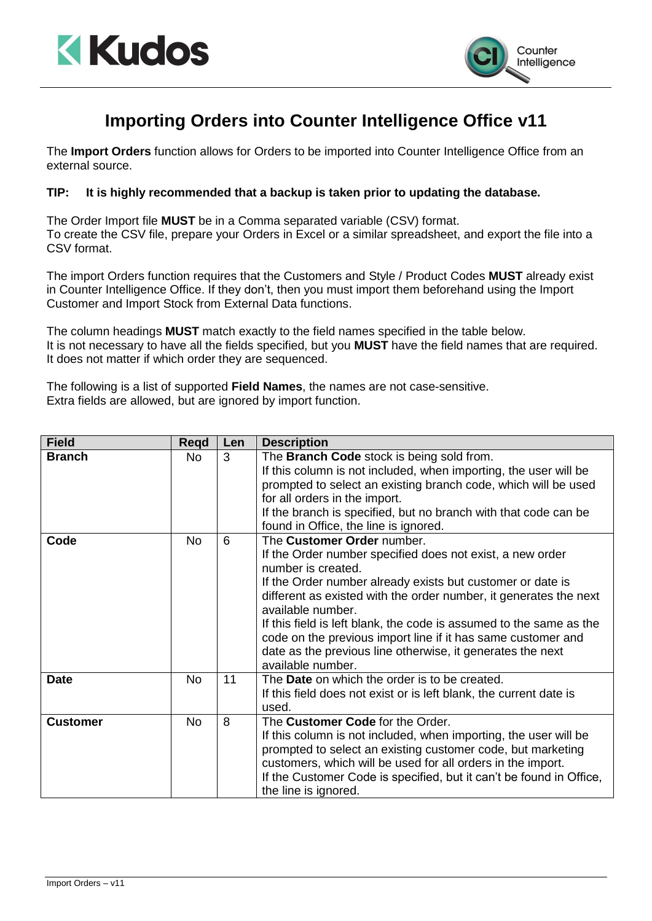



## **Importing Orders into Counter Intelligence Office v11**

The **Import Orders** function allows for Orders to be imported into Counter Intelligence Office from an external source.

## **TIP: It is highly recommended that a backup is taken prior to updating the database.**

The Order Import file **MUST** be in a Comma separated variable (CSV) format. To create the CSV file, prepare your Orders in Excel or a similar spreadsheet, and export the file into a CSV format.

The import Orders function requires that the Customers and Style / Product Codes **MUST** already exist in Counter Intelligence Office. If they don't, then you must import them beforehand using the Import Customer and Import Stock from External Data functions.

The column headings **MUST** match exactly to the field names specified in the table below. It is not necessary to have all the fields specified, but you **MUST** have the field names that are required. It does not matter if which order they are sequenced.

The following is a list of supported **Field Names**, the names are not case-sensitive. Extra fields are allowed, but are ignored by import function.

| <b>Field</b>    | <b>Regd</b> | Len | <b>Description</b>                                                                                                                                                                                                                                                                                                                                                                                                                                                                              |
|-----------------|-------------|-----|-------------------------------------------------------------------------------------------------------------------------------------------------------------------------------------------------------------------------------------------------------------------------------------------------------------------------------------------------------------------------------------------------------------------------------------------------------------------------------------------------|
| <b>Branch</b>   | <b>No</b>   | 3   | The Branch Code stock is being sold from.<br>If this column is not included, when importing, the user will be<br>prompted to select an existing branch code, which will be used<br>for all orders in the import.<br>If the branch is specified, but no branch with that code can be<br>found in Office, the line is ignored.                                                                                                                                                                    |
| Code            | <b>No</b>   | 6   | The Customer Order number.<br>If the Order number specified does not exist, a new order<br>number is created.<br>If the Order number already exists but customer or date is<br>different as existed with the order number, it generates the next<br>available number.<br>If this field is left blank, the code is assumed to the same as the<br>code on the previous import line if it has same customer and<br>date as the previous line otherwise, it generates the next<br>available number. |
| <b>Date</b>     | <b>No</b>   | 11  | The Date on which the order is to be created.<br>If this field does not exist or is left blank, the current date is<br>used.                                                                                                                                                                                                                                                                                                                                                                    |
| <b>Customer</b> | <b>No</b>   | 8   | The Customer Code for the Order.<br>If this column is not included, when importing, the user will be<br>prompted to select an existing customer code, but marketing<br>customers, which will be used for all orders in the import.<br>If the Customer Code is specified, but it can't be found in Office,<br>the line is ignored.                                                                                                                                                               |